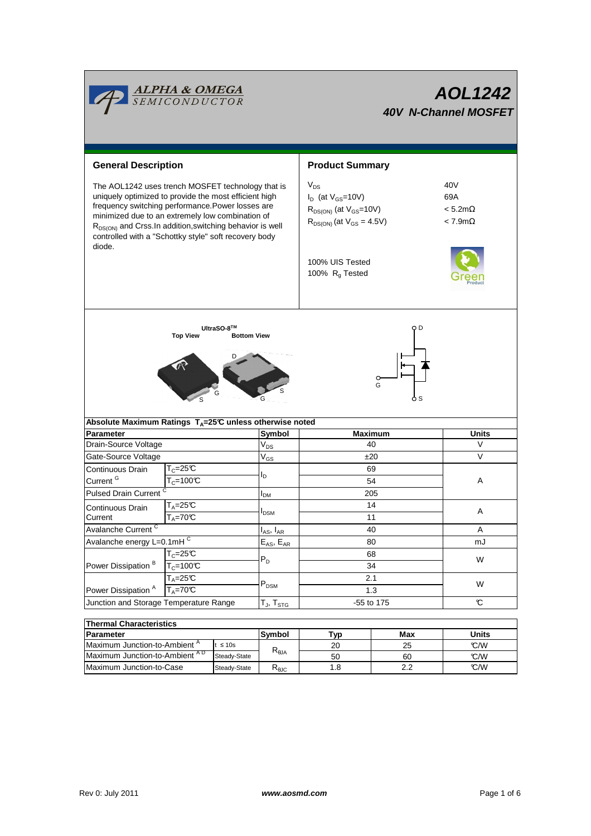

| lThermal Characteristics                  |              |                        |     |     |       |  |  |  |  |  |
|-------------------------------------------|--------------|------------------------|-----|-----|-------|--|--|--|--|--|
| <b>IParameter</b>                         |              | Symbol                 | Typ | Max | Units |  |  |  |  |  |
| Maximum Junction-to-Ambient <sup>A</sup>  | ≲ 10s        |                        | 20  | 25  | C/M   |  |  |  |  |  |
| Maximum Junction-to-Ambient <sup>AD</sup> | Steady-State | $R_{\theta$ JA         | 50  | 60  | C/W   |  |  |  |  |  |
| Maximum Junction-to-Case                  | Steady-State | $R_{\theta \text{JC}}$ |     | 2.2 | C/M   |  |  |  |  |  |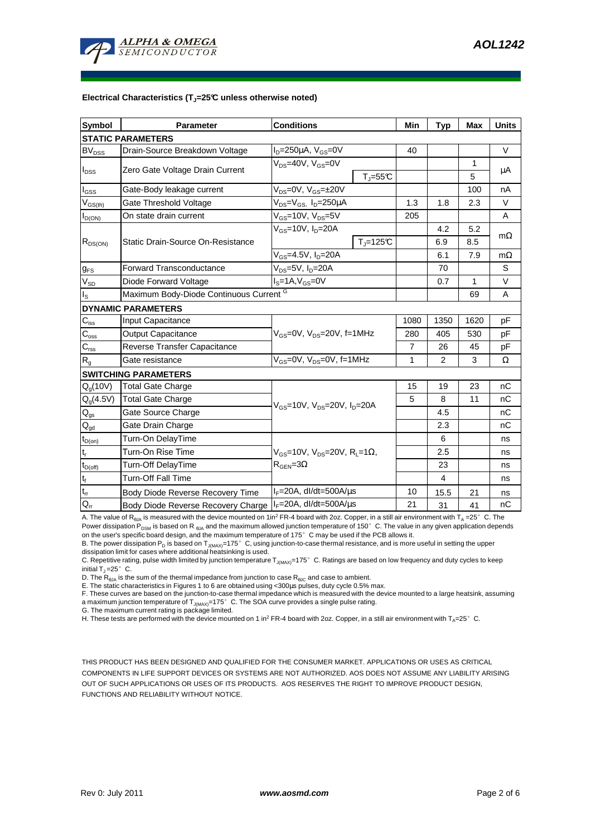

#### **Electrical Characteristics (TJ=25°C unless otherwise noted)**

| <b>Symbol</b>               | <b>Parameter</b>                         | <b>Conditions</b>                                                                        |           | Min            | <b>Typ</b> | <b>Max</b> | <b>Units</b> |  |  |  |
|-----------------------------|------------------------------------------|------------------------------------------------------------------------------------------|-----------|----------------|------------|------------|--------------|--|--|--|
| <b>STATIC PARAMETERS</b>    |                                          |                                                                                          |           |                |            |            |              |  |  |  |
| <b>BV<sub>DSS</sub></b>     | Drain-Source Breakdown Voltage           | $I_D = 250 \mu A$ , $V_{GS} = 0V$                                                        |           | 40             |            |            | $\vee$       |  |  |  |
| $I_{DSS}$                   | Zero Gate Voltage Drain Current          | V <sub>DS</sub> =40V, V <sub>GS</sub> =0V                                                |           |                |            | 1          | μA           |  |  |  |
|                             |                                          | $T_{\parallel} = 55$ °C                                                                  |           |                |            | 5          |              |  |  |  |
| l <sub>GSS</sub>            | Gate-Body leakage current                | $V_{DS} = 0V$ , $V_{GS} = \pm 20V$                                                       |           |                |            | 100        | nA           |  |  |  |
| $V_{GS(th)}$                | Gate Threshold Voltage                   | $V_{DS} = V_{GS}$ , $I_D = 250 \mu A$                                                    |           | 1.3            | 1.8        | 2.3        | $\vee$       |  |  |  |
| $I_{D(ON)}$                 | On state drain current                   | $V_{GS}$ =10V, $V_{DS}$ =5V                                                              |           | 205            |            |            | A            |  |  |  |
| $R_{DS(ON)}$                | <b>Static Drain-Source On-Resistance</b> | $V_{GS}$ =10V, I <sub>D</sub> =20A                                                       |           |                | 4.2        | 5.2        | $m\Omega$    |  |  |  |
|                             |                                          |                                                                                          | $Tj=125C$ |                | 6.9        | 8.5        |              |  |  |  |
|                             |                                          | $V_{GS}$ =4.5V, I <sub>D</sub> =20A                                                      |           |                | 6.1        | 7.9        | $m\Omega$    |  |  |  |
| $g_{FS}$                    | <b>Forward Transconductance</b>          | $V_{DS}$ =5V, $I_D$ =20A                                                                 |           |                | 70         |            | S            |  |  |  |
| $V_{SD}$                    | Diode Forward Voltage                    | $IS=1A, VGS=0V$                                                                          |           |                | 0.7        | 1          | V            |  |  |  |
| Is                          | Maximum Body-Diode Continuous Current G  |                                                                                          |           |                |            | 69         | A            |  |  |  |
|                             | <b>DYNAMIC PARAMETERS</b>                |                                                                                          |           |                |            |            |              |  |  |  |
| $C_{\text{iss}}$            | Input Capacitance                        | $V_{GS}$ =0V, $V_{DS}$ =20V, f=1MHz                                                      |           | 1080           | 1350       | 1620       | pF           |  |  |  |
| $C_{\rm oss}$               | Output Capacitance                       |                                                                                          |           | 280            | 405        | 530        | pF           |  |  |  |
| $C_{\rm rss}$               | Reverse Transfer Capacitance             |                                                                                          |           | $\overline{7}$ | 26         | 45         | pF           |  |  |  |
| $R_{g}$                     | Gate resistance                          | $V_{GS}$ =0V, $V_{DS}$ =0V, f=1MHz                                                       |           | 1              | 2          | 3          | Ω            |  |  |  |
|                             | <b>SWITCHING PARAMETERS</b>              |                                                                                          |           |                |            |            |              |  |  |  |
| $Q_q(10V)$                  | Total Gate Charge                        | $V_{\rm GS}$ =10V, $V_{\rm DS}$ =20V, $I_{\rm D}$ =20A                                   |           | 15             | 19         | 23         | nC           |  |  |  |
| $Q_q(4.5V)$                 | <b>Total Gate Charge</b>                 |                                                                                          |           | 5              | 8          | 11         | nC           |  |  |  |
| $\mathsf{Q}_{\mathsf{gs}}$  | Gate Source Charge                       |                                                                                          |           |                | 4.5        |            | nC           |  |  |  |
| $\mathsf{Q}_{\text{gd}}$    | Gate Drain Charge                        |                                                                                          |           |                | 2.3        |            | nC           |  |  |  |
| $t_{D(on)}$                 | Turn-On DelayTime                        |                                                                                          |           |                | 6          |            | ns           |  |  |  |
| $\mathfrak{t}_{\mathsf{r}}$ | Turn-On Rise Time                        | $V_{GS}$ =10V, $V_{DS}$ =20V, R <sub>i</sub> =1 $\Omega$ ,<br>$R_{\text{GEN}} = 3\Omega$ |           |                | 2.5        |            | ns           |  |  |  |
| $t_{D(Off)}$                | Turn-Off DelayTime                       |                                                                                          |           |                | 23         |            | ns           |  |  |  |
| $t_f$                       | <b>Turn-Off Fall Time</b>                |                                                                                          |           |                | 4          |            | ns           |  |  |  |
| $\mathsf{t}_{\mathsf{rr}}$  | Body Diode Reverse Recovery Time         | $I_F = 20A$ , dl/dt=500A/ $\mu$ s                                                        |           | 10             | 15.5       | 21         | ns           |  |  |  |
| $Q_{rr}$                    | Body Diode Reverse Recovery Charge       | $I_F = 20A$ , dl/dt=500A/ $\mu$ s                                                        |           | 21             | 31         | 41         | nC           |  |  |  |

A. The value of R<sub>BJA</sub> is measured with the device mounted on 1in<sup>2</sup> FR-4 board with 2oz. Copper, in a still air environment with T<sub>A</sub> =25°C. The Power dissipation P<sub>DSM</sub> is based on R <sub>θJA</sub> and the maximum allowed junction temperature of 150°C. The value in any given application depends on the user's specific board design, and the maximum temperature of 175°C may be used if the PCB allows it.

B. The power dissipation P<sub>D</sub> is based on T<sub>J(MAX)</sub>=175°C, using junction-to-case thermal resistance, and is more useful in setting the upper<br>dissipation limit for cases where additional heatsinking is used.

C. Repetitive rating, pulse width limited by junction temperature T<sub>J(MAX)</sub>=175°C. Ratings are based on low frequency and duty cycles to keep initial  $T_1 = 25^\circ$  C.

D. The  $R_{AIA}$  is the sum of the thermal impedance from junction to case  $R_{AIC}$  and case to ambient.

E. The static characteristics in Figures 1 to 6 are obtained using <300µs pulses, duty cycle 0.5% max.

F. These curves are based on the junction-to-case thermal impedance which is measured with the device mounted to a large heatsink, assuming a maximum junction temperature of  $T_{J(MAX)}$ =175° C. The SOA curve provides a single pulse rating.

G. The maximum current rating is package limited.

H. These tests are performed with the device mounted on 1 in<sup>2</sup> FR-4 board with 2oz. Copper, in a still air environment with T<sub>A</sub>=25°C.

THIS PRODUCT HAS BEEN DESIGNED AND QUALIFIED FOR THE CONSUMER MARKET. APPLICATIONS OR USES AS CRITICAL COMPONENTS IN LIFE SUPPORT DEVICES OR SYSTEMS ARE NOT AUTHORIZED. AOS DOES NOT ASSUME ANY LIABILITY ARISING OUT OF SUCH APPLICATIONS OR USES OF ITS PRODUCTS. AOS RESERVES THE RIGHT TO IMPROVE PRODUCT DESIGN, FUNCTIONS AND RELIABILITY WITHOUT NOTICE.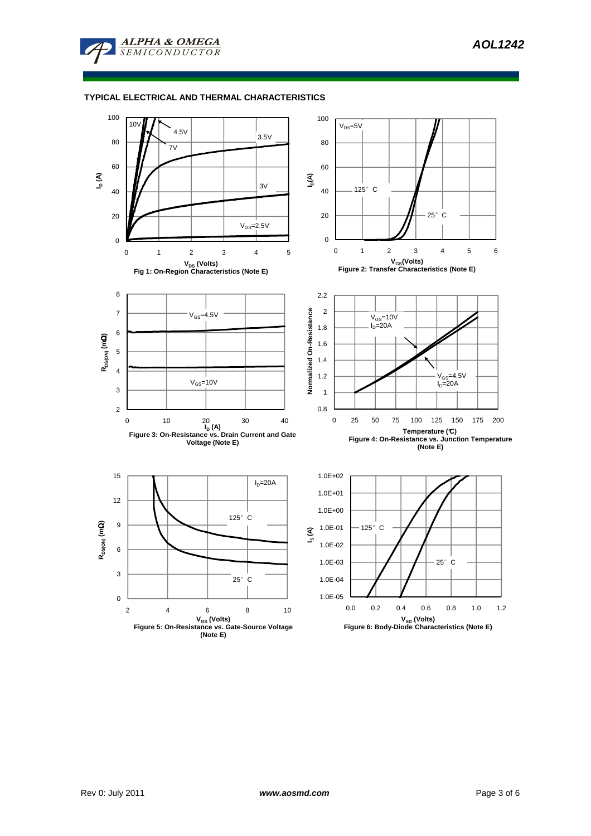

## **TYPICAL ELECTRICAL AND THERMAL CHARACTERISTICS**

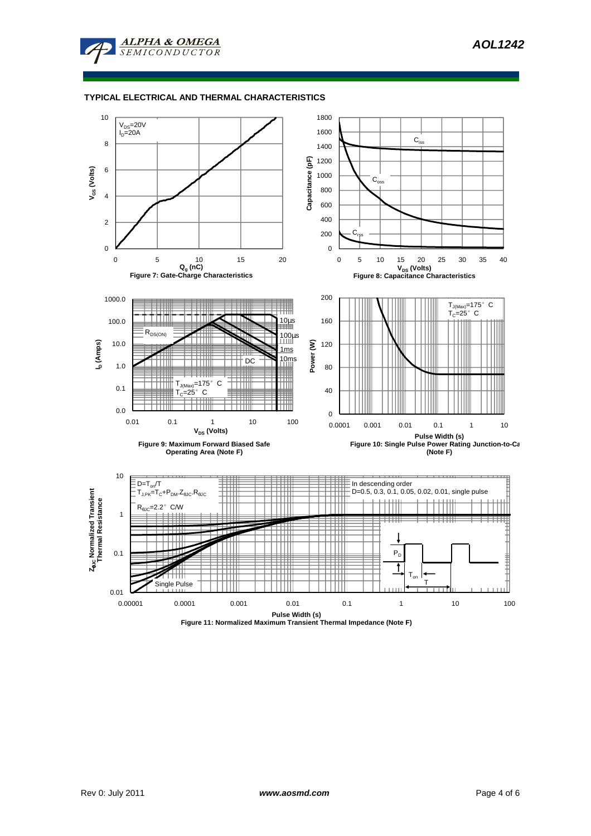

## **TYPICAL ELECTRICAL AND THERMAL CHARACTERISTICS**



**Figure 11: Normalized Maximum Transient Thermal Impedance (Note F)**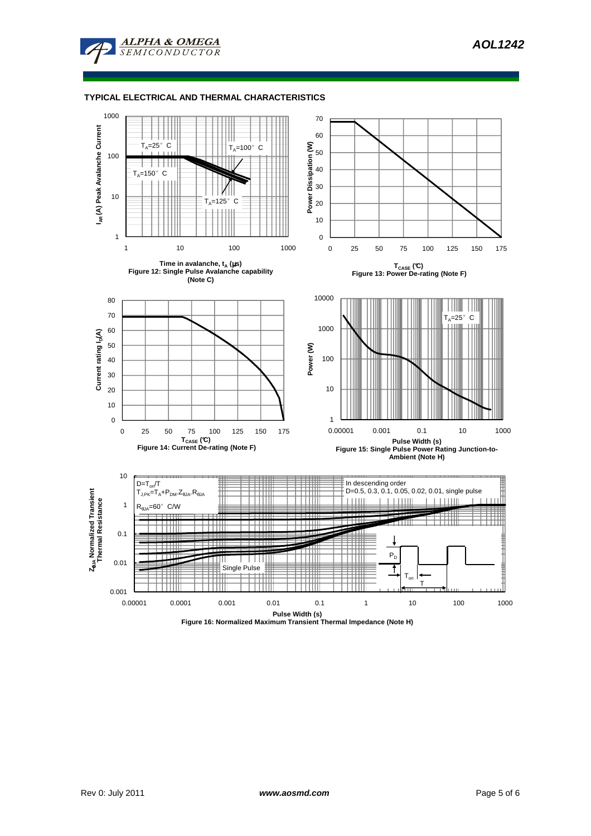

**ALPHA & OMEGA SEMICONDUCTOR**